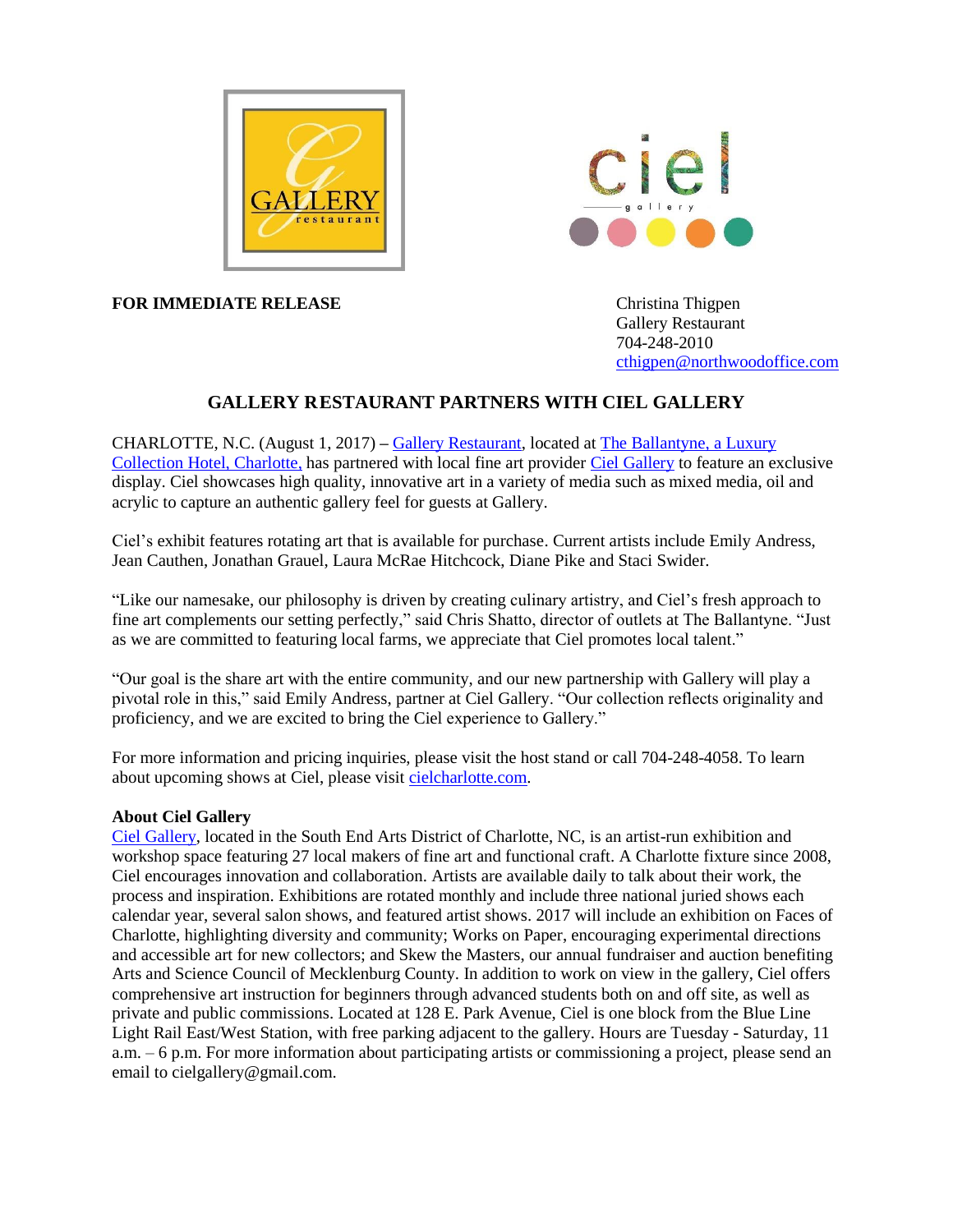



**FOR IMMEDIATE RELEASE** Christina Thigpen

Gallery Restaurant 704-248-2010 [cthigpen@northwoodoffice.com](mailto:cthigpen@northwoodoffice.com)

# **GALLERY RESTAURANT PARTNERS WITH CIEL GALLERY**

CHARLOTTE, N.C. (August 1, 2017) **–** [Gallery Restaurant,](http://www.gallery-restaurant.com/) located at [The Ballantyne, a Luxury](http://www.theballantynehotel.com/)  [Collection Hotel, Charlotte,](http://www.theballantynehotel.com/) has partnered with local fine art provider [Ciel Gallery](http://www.cielcharlotte.com/) to feature an exclusive display. Ciel showcases high quality, innovative art in a variety of media such as mixed media, oil and acrylic to capture an authentic gallery feel for guests at Gallery.

Ciel's exhibit features rotating art that is available for purchase. Current artists include Emily Andress, Jean Cauthen, Jonathan Grauel, Laura McRae Hitchcock, Diane Pike and Staci Swider.

"Like our namesake, our philosophy is driven by creating culinary artistry, and Ciel's fresh approach to fine art complements our setting perfectly," said Chris Shatto, director of outlets at The Ballantyne. "Just as we are committed to featuring local farms, we appreciate that Ciel promotes local talent."

"Our goal is the share art with the entire community, and our new partnership with Gallery will play a pivotal role in this," said Emily Andress, partner at Ciel Gallery. "Our collection reflects originality and proficiency, and we are excited to bring the Ciel experience to Gallery."

For more information and pricing inquiries, please visit the host stand or call 704-248-4058. To learn about upcoming shows at Ciel, please visi[t cielcharlotte.com.](http://www.cielcharlotte.com/)

## **About Ciel Gallery**

[Ciel Gallery,](http://www.cielcharlotte.com/) located in the South End Arts District of Charlotte, NC, is an artist-run exhibition and workshop space featuring 27 local makers of fine art and functional craft. A Charlotte fixture since 2008, Ciel encourages innovation and collaboration. Artists are available daily to talk about their work, the process and inspiration. Exhibitions are rotated monthly and include three national juried shows each calendar year, several salon shows, and featured artist shows. 2017 will include an exhibition on Faces of Charlotte, highlighting diversity and community; Works on Paper, encouraging experimental directions and accessible art for new collectors; and Skew the Masters, our annual fundraiser and auction benefiting Arts and Science Council of Mecklenburg County. In addition to work on view in the gallery, Ciel offers comprehensive art instruction for beginners through advanced students both on and off site, as well as private and public commissions. Located at 128 E. Park Avenue, Ciel is one block from the Blue Line Light Rail East/West Station, with free parking adjacent to the gallery. Hours are Tuesday - Saturday, 11 a.m. – 6 p.m. For more information about participating artists or commissioning a project, please send an email to cielgallery@gmail.com.